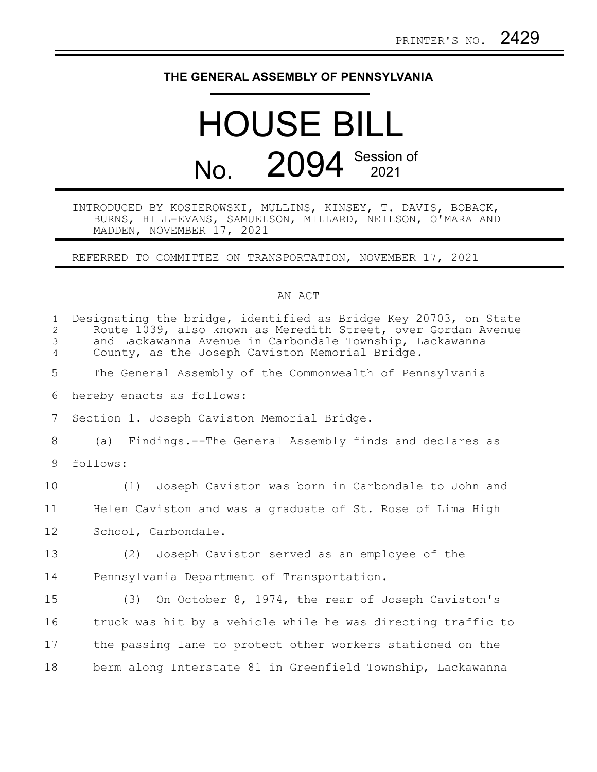## **THE GENERAL ASSEMBLY OF PENNSYLVANIA**

## HOUSE BILL No. 2094 Session of

## INTRODUCED BY KOSIEROWSKI, MULLINS, KINSEY, T. DAVIS, BOBACK, BURNS, HILL-EVANS, SAMUELSON, MILLARD, NEILSON, O'MARA AND MADDEN, NOVEMBER 17, 2021

REFERRED TO COMMITTEE ON TRANSPORTATION, NOVEMBER 17, 2021

## AN ACT

| $\mathbf{1}$<br>$\overline{2}$<br>3<br>$\overline{4}$ | Designating the bridge, identified as Bridge Key 20703, on State<br>Route 1039, also known as Meredith Street, over Gordan Avenue<br>and Lackawanna Avenue in Carbondale Township, Lackawanna<br>County, as the Joseph Caviston Memorial Bridge. |
|-------------------------------------------------------|--------------------------------------------------------------------------------------------------------------------------------------------------------------------------------------------------------------------------------------------------|
| 5                                                     | The General Assembly of the Commonwealth of Pennsylvania                                                                                                                                                                                         |
| 6                                                     | hereby enacts as follows:                                                                                                                                                                                                                        |
| 7                                                     | Section 1. Joseph Caviston Memorial Bridge.                                                                                                                                                                                                      |
| 8                                                     | (a) Findings.--The General Assembly finds and declares as                                                                                                                                                                                        |
| 9                                                     | follows:                                                                                                                                                                                                                                         |
| 10                                                    | Joseph Caviston was born in Carbondale to John and<br>(1)                                                                                                                                                                                        |
| 11                                                    | Helen Caviston and was a graduate of St. Rose of Lima High                                                                                                                                                                                       |
| 12                                                    | School, Carbondale.                                                                                                                                                                                                                              |
| 13                                                    | (2) Joseph Caviston served as an employee of the                                                                                                                                                                                                 |
| 14                                                    | Pennsylvania Department of Transportation.                                                                                                                                                                                                       |
| 15                                                    | (3) On October 8, 1974, the rear of Joseph Caviston's                                                                                                                                                                                            |
| 16                                                    | truck was hit by a vehicle while he was directing traffic to                                                                                                                                                                                     |
| 17                                                    | the passing lane to protect other workers stationed on the                                                                                                                                                                                       |
| 18                                                    | berm along Interstate 81 in Greenfield Township, Lackawanna                                                                                                                                                                                      |
|                                                       |                                                                                                                                                                                                                                                  |